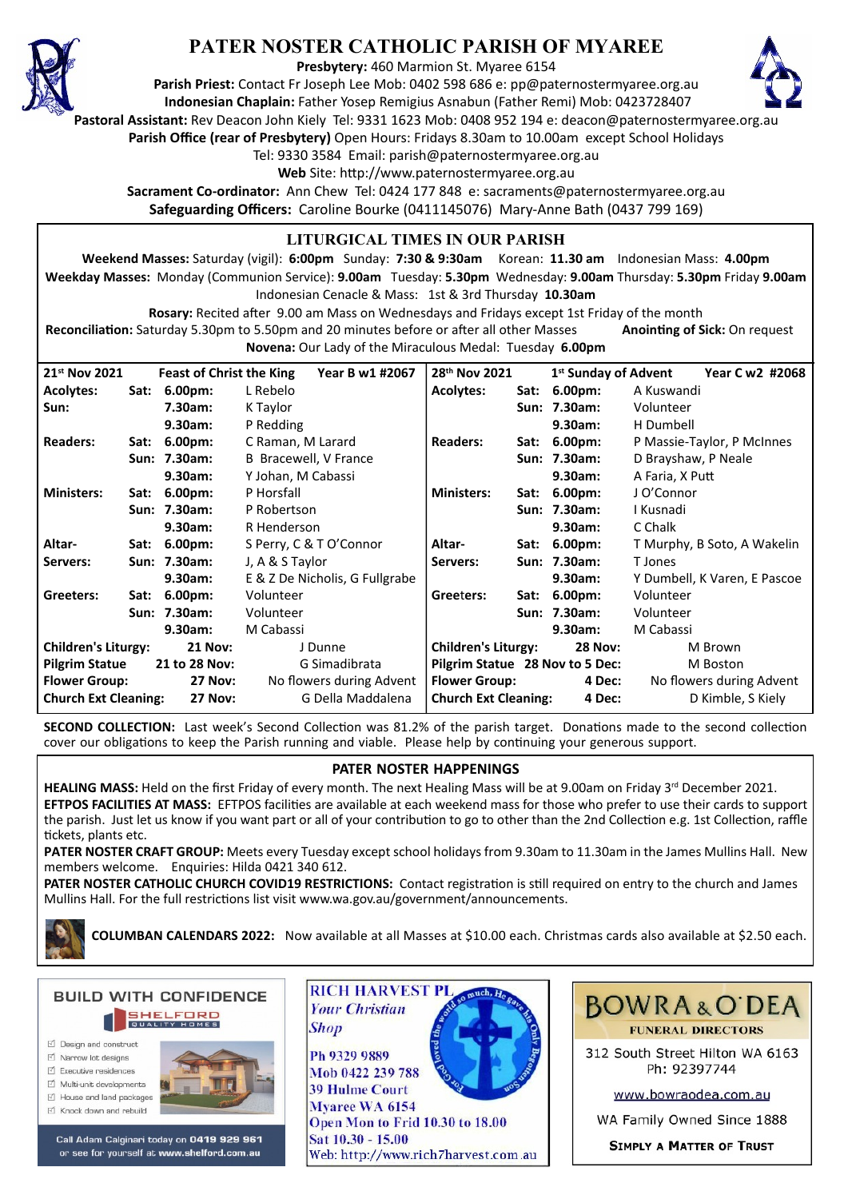

## **PATER NOSTER CATHOLIC PARISH OF MYAREE**

**Presbytery:** 460 Marmion St. Myaree 6154

**Parish Priest:** Contact Fr Joseph Lee Mob: 0402 598 686 e: pp@paternostermyaree.org.au **Indonesian Chaplain:** Father Yosep Remigius Asnabun (Father Remi) Mob: 0423728407



**Pastoral Assistant:** Rev Deacon John Kiely Tel: 9331 1623 Mob: 0408 952 194 e: deacon@paternostermyaree.org.au

**Parish Office (rear of Presbytery)** Open Hours: Fridays 8.30am to 10.00am except School Holidays

Tel: 9330 3584 Email: parish@paternostermyaree.org.au

Web Site: http://www.paternostermyaree.org.au

**Sacrament Co-ordinator:** Ann Chew Tel: 0424 177 848 e: sacraments@paternostermyaree.org.au **Safeguarding Officers:** Caroline Bourke (0411145076) Mary-Anne Bath (0437 799 169)

### **LITURGICAL TIMES IN OUR PARISH**

**Weekend Masses:** Saturday (vigil): **6:00pm** Sunday: **7:30 & 9:30am** Korean: **11.30 am** Indonesian Mass: **4.00pm Weekday Masses:** Monday (Communion Service): **9.00am** Tuesday: **5.30pm** Wednesday: **9.00am** Thursday: **5.30pm** Friday **9.00am** Indonesian Cenacle & Mass: 1st & 3rd Thursday **10.30am**

**Rosary:** Recited a�er 9.00 am Mass on Wednesdays and Fridays except 1st Friday of the month Reconciliation: Saturday 5.30pm to 5.50pm and 20 minutes before or after all other Masses **Anointing of Sick:** On request **Novena:** Our Lady of the Miraculous Medal: Tuesday **6.00pm**

| 21 <sup>st</sup> Nov 2021                     |  | <b>Feast of Christ the King</b> | Year B w1 #2067                | 28 <sup>th</sup> Nov 2021       | 1 <sup>st</sup> Sunday of Advent | Year C w2 #2068              |
|-----------------------------------------------|--|---------------------------------|--------------------------------|---------------------------------|----------------------------------|------------------------------|
| <b>Acolytes:</b>                              |  | Sat: 6.00pm:                    | L Rebelo                       | <b>Acolytes:</b><br>Sat:        | $6.00pm$ :                       | A Kuswandi                   |
| Sun:                                          |  | 7.30am:                         | K Taylor                       |                                 | Sun: 7.30am:                     | Volunteer                    |
|                                               |  | 9.30am:                         | P Redding                      |                                 | 9.30am:                          | H Dumbell                    |
| <b>Readers:</b>                               |  | Sat: 6.00pm:                    | C Raman, M Larard              | <b>Readers:</b><br>Sat:         | $6.00pm$ :                       | P Massie-Taylor, P McInnes   |
|                                               |  | Sun: 7.30am:                    | B Bracewell, V France          |                                 | Sun: 7.30am:                     | D Brayshaw, P Neale          |
|                                               |  | 9.30am:                         | Y Johan, M Cabassi             |                                 | 9.30am:                          | A Faria, X Putt              |
| <b>Ministers:</b>                             |  | Sat: 6.00pm:                    | P Horsfall                     | <b>Ministers:</b>               | Sat: 6.00pm:                     | J O'Connor                   |
|                                               |  | Sun: 7.30am:                    | P Robertson                    |                                 | Sun: 7.30am:                     | I Kusnadi                    |
|                                               |  | 9.30am:                         | R Henderson                    |                                 | 9.30am:                          | C Chalk                      |
| Altar-                                        |  | Sat: 6.00pm:                    | S Perry, C & T O'Connor        | Altar-<br>Sat:                  | 6.00pm:                          | T Murphy, B Soto, A Wakelin  |
| Servers:                                      |  | Sun: 7.30am:                    | J, A & S Taylor                | Servers:                        | Sun: 7.30am:                     | T Jones                      |
|                                               |  | 9.30am:                         | E & Z De Nicholis, G Fullgrabe |                                 | 9.30am:                          | Y Dumbell, K Varen, E Pascoe |
| Greeters:                                     |  | Sat: 6.00pm:                    | Volunteer                      | Greeters:                       | Sat: 6.00pm:                     | Volunteer                    |
|                                               |  | Sun: 7.30am:                    | Volunteer                      |                                 | Sun: 7.30am:                     | Volunteer                    |
|                                               |  | 9.30am:                         | M Cabassi                      |                                 | 9.30am:                          | M Cabassi                    |
| <b>Children's Liturgy:</b><br><b>21 Nov:</b>  |  |                                 | J Dunne                        | <b>Children's Liturgy:</b>      | <b>28 Nov:</b>                   | M Brown                      |
| <b>Pilgrim Statue</b>                         |  | 21 to 28 Nov:                   | G Simadibrata                  | Pilgrim Statue 28 Nov to 5 Dec: |                                  | M Boston                     |
| <b>Flower Group:</b>                          |  | <b>27 Nov:</b>                  | No flowers during Advent       | <b>Flower Group:</b>            | 4 Dec:                           | No flowers during Advent     |
| <b>Church Ext Cleaning:</b><br><b>27 Nov:</b> |  |                                 | G Della Maddalena              | <b>Church Ext Cleaning:</b>     | 4 Dec:                           | D Kimble, S Kiely            |

**SECOND COLLECTION:** Last week's Second Collection was 81.2% of the parish target. Donations made to the second collection cover our obligations to keep the Parish running and viable. Please help by continuing your generous support.

#### **PATER NOSTER HAPPENINGS**

HEALING MASS: Held on the first Friday of every month. The next Healing Mass will be at 9.00am on Friday 3<sup>rd</sup> December 2021. **EFTPOS FACILITIES AT MASS:** EFTPOS facili�es are available at each weekend mass for those who prefer to use their cards to support the parish. Just let us know if you want part or all of your contribution to go to other than the 2nd Collection e.g. 1st Collection, raffle �ckets, plants etc.

**PATER NOSTER CRAFT GROUP:** Meets every Tuesday except school holidays from 9.30am to 11.30am in the James Mullins Hall. New members welcome. Enquiries: Hilda 0421 340 612.

PATER NOSTER CATHOLIC CHURCH COVID19 RESTRICTIONS: Contact registration is still required on entry to the church and James Mullins Hall. For the full restrictions list visit www.wa.gov.au/government/announcements.

**COLUMBAN CALENDARS 2022:** Now available at all Masses at \$10.00 each. Christmas cards also available at \$2.50 each.

**BUILD WITH CONFIDENCE SHELFORD** □ Design and construct

- $\triangledown$  Narrow lot designe
- $\triangledown$  Executive residences
- $\overrightarrow{2}$  Multi-unit developments
- M House and land packages



Call Adam Calginari today on 0419 929 961 or see for yourself at www.shelford.com.au



Mob 0422 239 788 **39 Hulme Court** Myaree WA 6154 Open Mon to Frid 10.30 to 18.00 Sat 10.30 - 15.00 Web: http://www.rich7harvest.com.au



312 South Street Hilton WA 6163 Ph: 92397744

www.bowraodea.com.au

WA Family Owned Since 1888

**SIMPLY A MATTER OF TRUST**